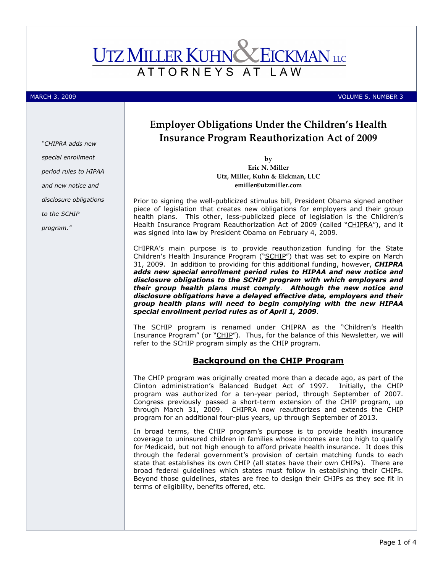# **UTZ MILLER KUHN CEICKMAN** LLC ATTORNEYS AT LAW

### MARCH 3, 2009 **VOLUME 5, NUMBER 3**

"CHIPRA adds new special enrollment period rules to HIPAA and new notice and disclosure obligations to the SCHIP program."

Employer Obligations Under the Children's Health Insurance Program Reauthorization Act of 2009

> by Eric N. Miller Utz, Miller, Kuhn & Eickman, LLC emiller@utzmiller.com

Prior to signing the well-publicized stimulus bill, President Obama signed another piece of legislation that creates new obligations for employers and their group health plans. This other, less-publicized piece of legislation is the Children's Health Insurance Program Reauthorization Act of 2009 (called "CHIPRA"), and it was signed into law by President Obama on February 4, 2009.

CHIPRA's main purpose is to provide reauthorization funding for the State Children's Health Insurance Program ("SCHIP") that was set to expire on March 31, 2009. In addition to providing for this additional funding, however, CHIPRA adds new special enrollment period rules to HIPAA and new notice and disclosure obligations to the SCHIP program with which employers and their group health plans must comply. Although the new notice and disclosure obligations have a delayed effective date, employers and their group health plans will need to begin complying with the new HIPAA special enrollment period rules as of April 1, 2009.

The SCHIP program is renamed under CHIPRA as the "Children's Health Insurance Program" (or "CHIP"). Thus, for the balance of this Newsletter, we will refer to the SCHIP program simply as the CHIP program.

## Background on the CHIP Program

The CHIP program was originally created more than a decade ago, as part of the Clinton administration's Balanced Budget Act of 1997. Initially, the CHIP program was authorized for a ten-year period, through September of 2007. Congress previously passed a short-term extension of the CHIP program, up through March 31, 2009. CHIPRA now reauthorizes and extends the CHIP program for an additional four-plus years, up through September of 2013.

In broad terms, the CHIP program's purpose is to provide health insurance coverage to uninsured children in families whose incomes are too high to qualify for Medicaid, but not high enough to afford private health insurance. It does this through the federal government's provision of certain matching funds to each state that establishes its own CHIP (all states have their own CHIPs). There are broad federal guidelines which states must follow in establishing their CHIPs. Beyond those guidelines, states are free to design their CHIPs as they see fit in terms of eligibility, benefits offered, etc.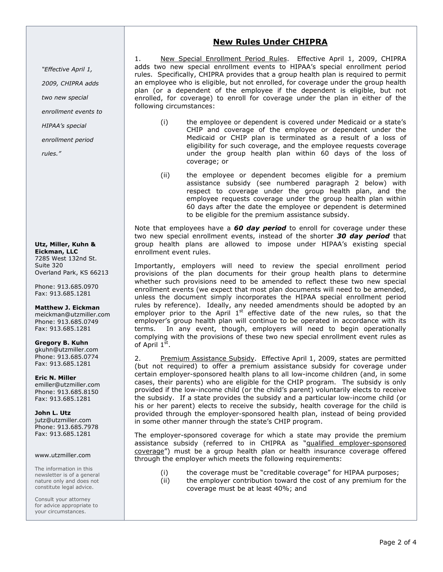# New Rules Under CHIPRA

"Effective April 1,

2009, CHIPRA adds

two new special

enrollment events to

HIPAA's special

enrollment period

rules."

#### Utz, Miller, Kuhn & Eickman, LLC 7285 West 132nd St. Suite 320 Overland Park, KS 66213

Phone: 913.685.0970 Fax: 913.685.1281

Matthew J. Eickman meickman@utzmiller.com Phone: 913.685.0749 Fax: 913.685.1281

Gregory B. Kuhn gkuhn@utzmiller.com Phone: 913.685.0774 Fax: 913.685.1281

Eric N. Miller emiller@utzmiller.com Phone: 913.685.8150 Fax: 913.685.1281

John L. Utz jutz@utzmiller.com Phone: 913.685.7978 Fax: 913.685.1281

#### www.utzmiller.com

The information in this newsletter is of a general nature only and does not constitute legal advice.

Consult your attorney for advice appropriate to your circumstances.

1. New Special Enrollment Period Rules. Effective April 1, 2009, CHIPRA adds two new special enrollment events to HIPAA's special enrollment period rules. Specifically, CHIPRA provides that a group health plan is required to permit an employee who is eligible, but not enrolled, for coverage under the group health plan (or a dependent of the employee if the dependent is eligible, but not enrolled, for coverage) to enroll for coverage under the plan in either of the following circumstances:

- (i) the employee or dependent is covered under Medicaid or a state's CHIP and coverage of the employee or dependent under the Medicaid or CHIP plan is terminated as a result of a loss of eligibility for such coverage, and the employee requests coverage under the group health plan within 60 days of the loss of coverage; or
- (ii) the employee or dependent becomes eligible for a premium assistance subsidy (see numbered paragraph 2 below) with respect to coverage under the group health plan, and the employee requests coverage under the group health plan within 60 days after the date the employee or dependent is determined to be eligible for the premium assistance subsidy.

Note that employees have a  $60$  day period to enroll for coverage under these two new special enrollment events, instead of the shorter 30 day period that group health plans are allowed to impose under HIPAA's existing special enrollment event rules.

Importantly, employers will need to review the special enrollment period provisions of the plan documents for their group health plans to determine whether such provisions need to be amended to reflect these two new special enrollment events (we expect that most plan documents will need to be amended, unless the document simply incorporates the HIPAA special enrollment period rules by reference). Ideally, any needed amendments should be adopted by an employer prior to the April  $1<sup>st</sup>$  effective date of the new rules, so that the employer's group health plan will continue to be operated in accordance with its terms. In any event, though, employers will need to begin operationally complying with the provisions of these two new special enrollment event rules as of April 1<sup>st</sup>.

2. Premium Assistance Subsidy. Effective April 1, 2009, states are permitted (but not required) to offer a premium assistance subsidy for coverage under certain employer-sponsored health plans to all low-income children (and, in some cases, their parents) who are eligible for the CHIP program. The subsidy is only provided if the low-income child (or the child's parent) voluntarily elects to receive the subsidy. If a state provides the subsidy and a particular low-income child (or his or her parent) elects to receive the subsidy, health coverage for the child is provided through the employer-sponsored health plan, instead of being provided in some other manner through the state's CHIP program.

The employer-sponsored coverage for which a state may provide the premium assistance subsidy (referred to in CHIPRA as "qualified employer-sponsored coverage") must be a group health plan or health insurance coverage offered through the employer which meets the following requirements:

- (i) the coverage must be "creditable coverage" for HIPAA purposes;
- (ii) the employer contribution toward the cost of any premium for the coverage must be at least 40%; and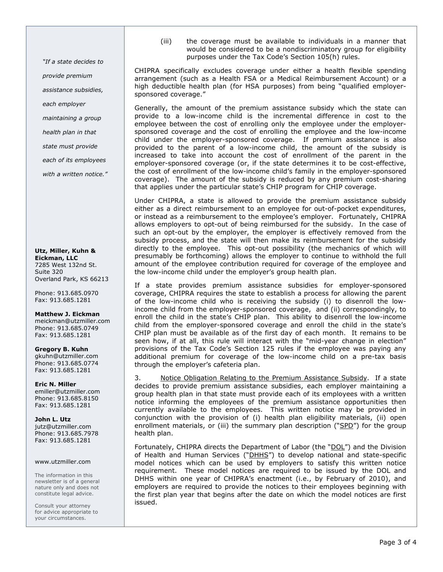(iii) the coverage must be available to individuals in a manner that would be considered to be a nondiscriminatory group for eligibility purposes under the Tax Code's Section 105(h) rules.

CHIPRA specifically excludes coverage under either a health flexible spending arrangement (such as a Health FSA or a Medical Reimbursement Account) or a high deductible health plan (for HSA purposes) from being "qualified employersponsored coverage."

Generally, the amount of the premium assistance subsidy which the state can provide to a low-income child is the incremental difference in cost to the employee between the cost of enrolling only the employee under the employersponsored coverage and the cost of enrolling the employee and the low-income child under the employer-sponsored coverage. If premium assistance is also provided to the parent of a low-income child, the amount of the subsidy is increased to take into account the cost of enrollment of the parent in the employer-sponsored coverage (or, if the state determines it to be cost-effective, the cost of enrollment of the low-income child's family in the employer-sponsored coverage). The amount of the subsidy is reduced by any premium cost-sharing that applies under the particular state's CHIP program for CHIP coverage.

Under CHIPRA, a state is allowed to provide the premium assistance subsidy either as a direct reimbursement to an employee for out-of-pocket expenditures, or instead as a reimbursement to the employee's employer. Fortunately, CHIPRA allows employers to opt-out of being reimbursed for the subsidy. In the case of such an opt-out by the employer, the employer is effectively removed from the subsidy process, and the state will then make its reimbursement for the subsidy directly to the employee. This opt-out possibility (the mechanics of which will presumably be forthcoming) allows the employer to continue to withhold the full amount of the employee contribution required for coverage of the employee and the low-income child under the employer's group health plan.

If a state provides premium assistance subsidies for employer-sponsored coverage, CHIPRA requires the state to establish a process for allowing the parent of the low-income child who is receiving the subsidy (i) to disenroll the lowincome child from the employer-sponsored coverage, and (ii) correspondingly, to enroll the child in the state's CHIP plan. This ability to disenroll the low-income child from the employer-sponsored coverage and enroll the child in the state's CHIP plan must be available as of the first day of each month. It remains to be seen how, if at all, this rule will interact with the "mid-year change in election" provisions of the Tax Code's Section 125 rules if the employee was paying any additional premium for coverage of the low-income child on a pre-tax basis through the employer's cafeteria plan.

3. Notice Obligation Relating to the Premium Assistance Subsidy. If a state decides to provide premium assistance subsidies, each employer maintaining a group health plan in that state must provide each of its employees with a written notice informing the employees of the premium assistance opportunities then currently available to the employees. This written notice may be provided in conjunction with the provision of (i) health plan eligibility materials, (ii) open enrollment materials, or (iii) the summary plan description ("SPD") for the group health plan.

Fortunately, CHIPRA directs the Department of Labor (the "DOL") and the Division of Health and Human Services ("DHHS") to develop national and state-specific model notices which can be used by employers to satisfy this written notice requirement. These model notices are required to be issued by the DOL and DHHS within one year of CHIPRA's enactment (i.e., by February of 2010), and employers are required to provide the notices to their employees beginning with the first plan year that begins after the date on which the model notices are first issued.

"If a state decides to

provide premium

assistance subsidies,

each employer

maintaining a group

health plan in that

state must provide

each of its employees

with a written notice."

Utz, Miller, Kuhn & Eickman, LLC 7285 West 132nd St. Suite 320 Overland Park, KS 66213

Phone: 913.685.0970 Fax: 913.685.1281

Matthew J. Eickman

meickman@utzmiller.com Phone: 913.685.0749 Fax: 913.685.1281

Gregory B. Kuhn gkuhn@utzmiller.com Phone: 913.685.0774 Fax: 913.685.1281

Eric N. Miller emiller@utzmiller.com Phone: 913.685.8150 Fax: 913.685.1281

John L. Utz jutz@utzmiller.com Phone: 913.685.7978 Fax: 913.685.1281

### www.utzmiller.com

The information in this newsletter is of a general nature only and does not constitute legal advice.

Consult your attorney for advice appropriate to your circumstances.